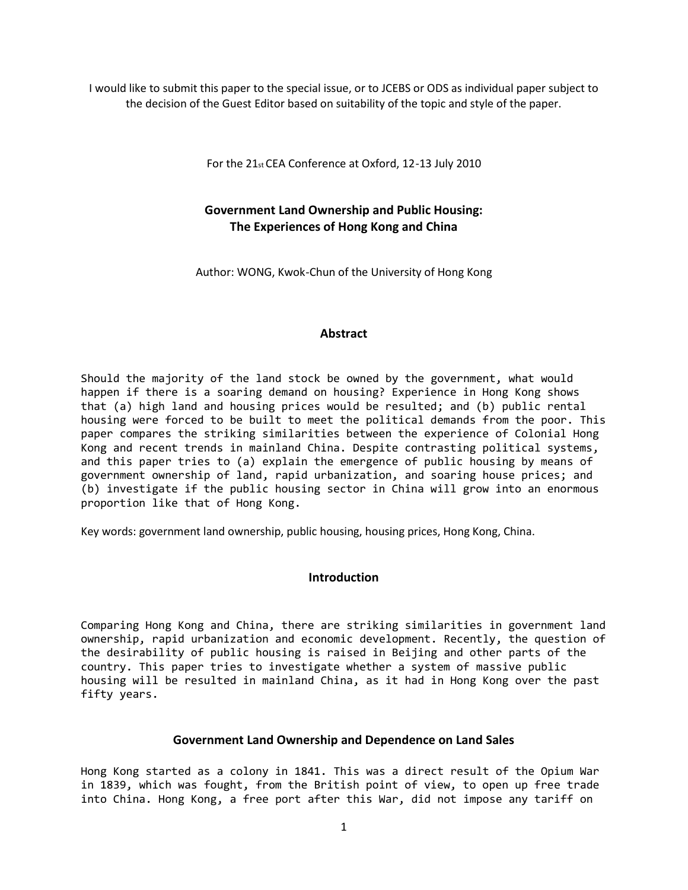I would like to submit this paper to the special issue, or to JCEBS or ODS as individual paper subject to the decision of the Guest Editor based on suitability of the topic and style of the paper.

For the 21st CEA Conference at Oxford, 12‐13 July 2010

# **Government Land Ownership and Public Housing: The Experiences of Hong Kong and China**

Author: WONG, Kwok‐Chun of the University of Hong Kong

### **Abstract**

Should the majority of the land stock be owned by the government, what would happen if there is a soaring demand on housing? Experience in Hong Kong shows that (a) high land and housing prices would be resulted; and (b) public rental housing were forced to be built to meet the political demands from the poor. This paper compares the striking similarities between the experience of Colonial Hong Kong and recent trends in mainland China. Despite contrasting political systems, and this paper tries to (a) explain the emergence of public housing by means of government ownership of land, rapid urbanization, and soaring house prices; and (b) investigate if the public housing sector in China will grow into an enormous proportion like that of Hong Kong.

Key words: government land ownership, public housing, housing prices, Hong Kong, China.

## **Introduction**

Comparing Hong Kong and China, there are striking similarities in government land ownership, rapid urbanization and economic development. Recently, the question of the desirability of public housing is raised in Beijing and other parts of the country. This paper tries to investigate whether a system of massive public housing will be resulted in mainland China, as it had in Hong Kong over the past fifty years.

### **Government Land Ownership and Dependence on Land Sales**

Hong Kong started as a colony in 1841. This was a direct result of the Opium War in 1839, which was fought, from the British point of view, to open up free trade into China. Hong Kong, a free port after this War, did not impose any tariff on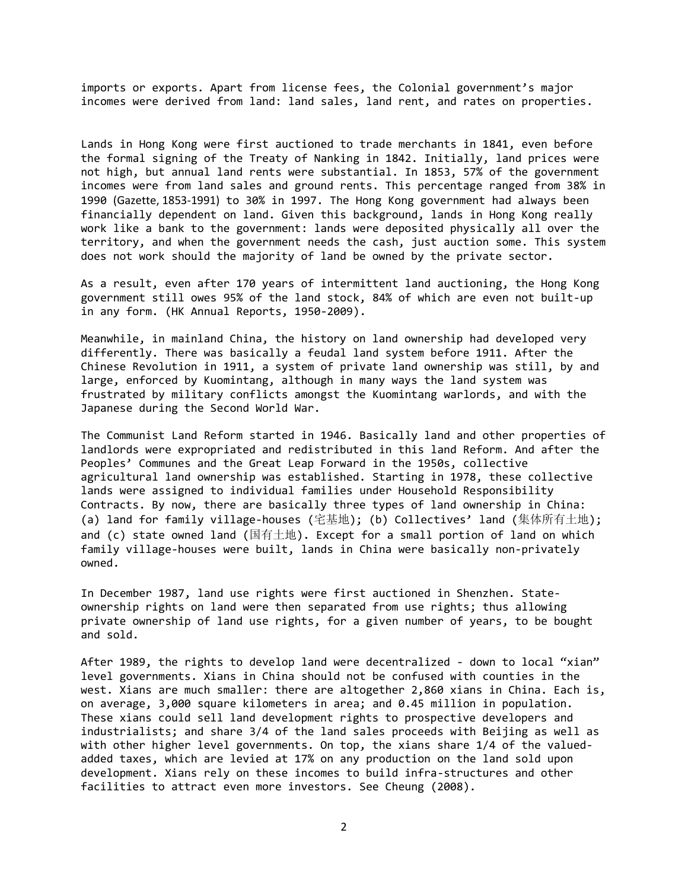imports or exports. Apart from license fees, the Colonial government's major incomes were derived from land: land sales, land rent, and rates on properties.

Lands in Hong Kong were first auctioned to trade merchants in 1841, even before the formal signing of the Treaty of Nanking in 1842. Initially, land prices were not high, but annual land rents were substantial. In 1853, 57% of the government incomes were from land sales and ground rents. This percentage ranged from 38% in 1990 (Gazette, 1853-1991) to 30% in 1997. The Hong Kong government had always been financially dependent on land. Given this background, lands in Hong Kong really work like a bank to the government: lands were deposited physically all over the territory, and when the government needs the cash, just auction some. This system does not work should the majority of land be owned by the private sector.

As a result, even after 170 years of intermittent land auctioning, the Hong Kong government still owes 95% of the land stock, 84% of which are even not built-up in any form. (HK Annual Reports, 1950-2009).

Meanwhile, in mainland China, the history on land ownership had developed very differently. There was basically a feudal land system before 1911. After the Chinese Revolution in 1911, a system of private land ownership was still, by and large, enforced by Kuomintang, although in many ways the land system was frustrated by military conflicts amongst the Kuomintang warlords, and with the Japanese during the Second World War.

The Communist Land Reform started in 1946. Basically land and other properties of landlords were expropriated and redistributed in this land Reform. And after the Peoples' Communes and the Great Leap Forward in the 1950s, collective agricultural land ownership was established. Starting in 1978, these collective lands were assigned to individual families under Household Responsibility Contracts. By now, there are basically three types of land ownership in China: (a) land for family village-houses (宅基地); (b) Collectives' land (集体所有土地); and (c) state owned land (国有土地). Except for a small portion of land on which family village-houses were built, lands in China were basically non-privately owned.

In December 1987, land use rights were first auctioned in Shenzhen. Stateownership rights on land were then separated from use rights; thus allowing private ownership of land use rights, for a given number of years, to be bought and sold.

After 1989, the rights to develop land were decentralized - down to local "xian" level governments. Xians in China should not be confused with counties in the west. Xians are much smaller: there are altogether 2,860 xians in China. Each is, on average, 3,000 square kilometers in area; and 0.45 million in population. These xians could sell land development rights to prospective developers and industrialists; and share 3/4 of the land sales proceeds with Beijing as well as with other higher level governments. On top, the xians share 1/4 of the valuedadded taxes, which are levied at 17% on any production on the land sold upon development. Xians rely on these incomes to build infra-structures and other facilities to attract even more investors. See Cheung (2008).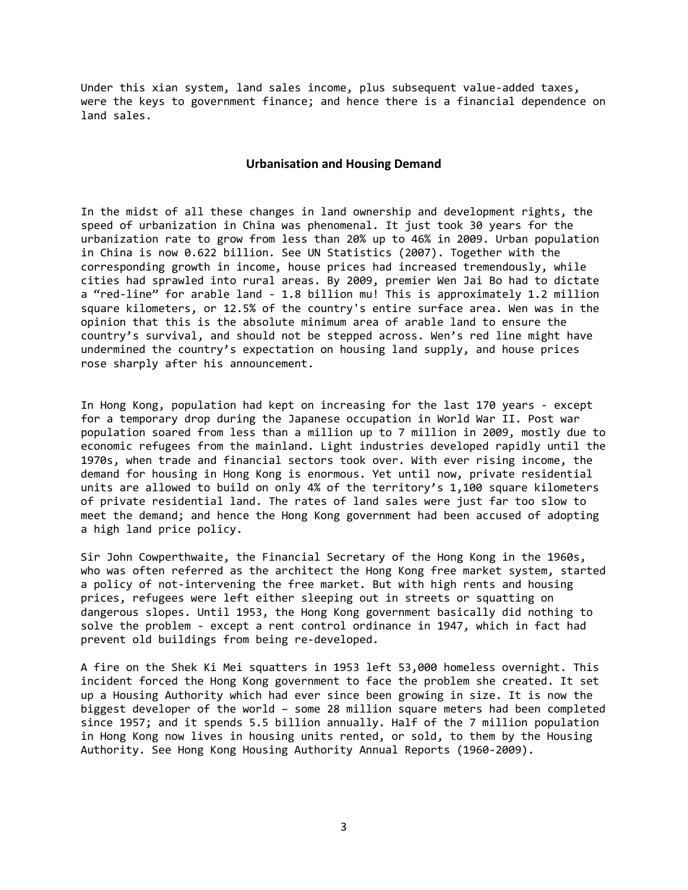Under this xian system, land sales income, plus subsequent value-added taxes, were the keys to government finance; and hence there is a financial dependence on land sales.

#### **Urbanisation and Housing Demand**

In the midst of all these changes in land ownership and development rights, the speed of urbanization in China was phenomenal. It just took 30 years for the urbanization rate to grow from less than 20% up to 46% in 2009. Urban population in China is now 0.622 billion. See UN Statistics (2007). Together with the corresponding growth in income, house prices had increased tremendously, while cities had sprawled into rural areas. By 2009, premier Wen Jai Bo had to dictate a "red-line" for arable land - 1.8 billion mu! This is approximately 1.2 million square kilometers, or 12.5% of the country's entire surface area. Wen was in the opinion that this is the absolute minimum area of arable land to ensure the country's survival, and should not be stepped across. Wen's red line might have undermined the country's expectation on housing land supply, and house prices rose sharply after his announcement.

In Hong Kong, population had kept on increasing for the last 170 years - except for a temporary drop during the Japanese occupation in World War II. Post war population soared from less than a million up to 7 million in 2009, mostly due to economic refugees from the mainland. Light industries developed rapidly until the 1970s, when trade and financial sectors took over. With ever rising income, the demand for housing in Hong Kong is enormous. Yet until now, private residential units are allowed to build on only 4% of the territory's 1,100 square kilometers of private residential land. The rates of land sales were just far too slow to meet the demand; and hence the Hong Kong government had been accused of adopting a high land price policy.

Sir John Cowperthwaite, the Financial Secretary of the Hong Kong in the 1960s, who was often referred as the architect the Hong Kong free market system, started a policy of not-intervening the free market. But with high rents and housing prices, refugees were left either sleeping out in streets or squatting on dangerous slopes. Until 1953, the Hong Kong government basically did nothing to solve the problem - except a rent control ordinance in 1947, which in fact had prevent old buildings from being re-developed.

A fire on the Shek Ki Mei squatters in 1953 left 53,000 homeless overnight. This incident forced the Hong Kong government to face the problem she created. It set up a Housing Authority which had ever since been growing in size. It is now the biggest developer of the world – some 28 million square meters had been completed since 1957; and it spends 5.5 billion annually. Half of the 7 million population in Hong Kong now lives in housing units rented, or sold, to them by the Housing Authority. See Hong Kong Housing Authority Annual Reports (1960-2009).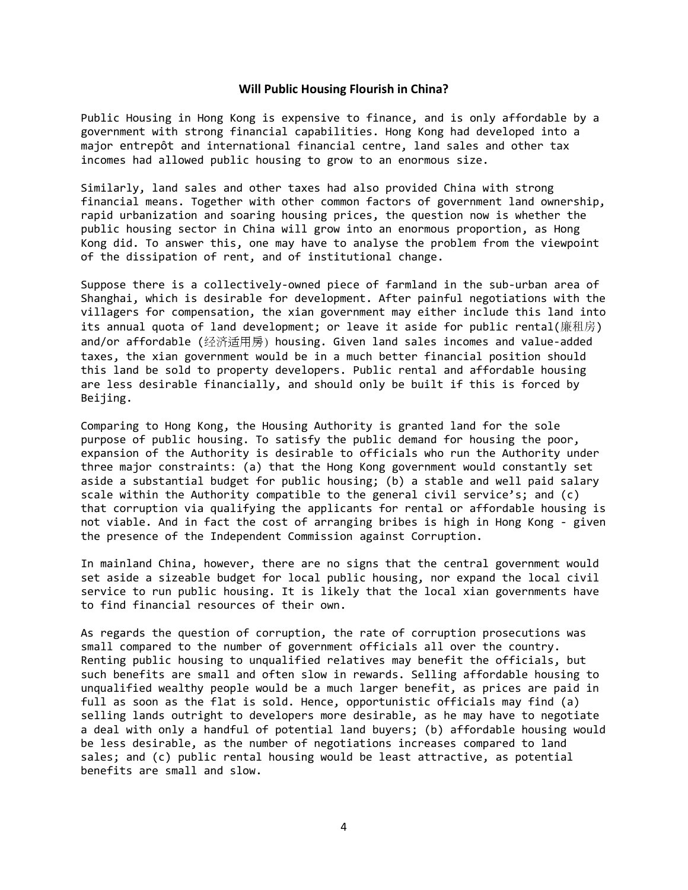#### **Will Public Housing Flourish in China?**

Public Housing in Hong Kong is expensive to finance, and is only affordable by a government with strong financial capabilities. Hong Kong had developed into a major entrepôt and international financial centre, land sales and other tax incomes had allowed public housing to grow to an enormous size.

Similarly, land sales and other taxes had also provided China with strong financial means. Together with other common factors of government land ownership, rapid urbanization and soaring housing prices, the question now is whether the public housing sector in China will grow into an enormous proportion, as Hong Kong did. To answer this, one may have to analyse the problem from the viewpoint of the dissipation of rent, and of institutional change.

Suppose there is a collectively-owned piece of farmland in the sub-urban area of Shanghai, which is desirable for development. After painful negotiations with the villagers for compensation, the xian government may either include this land into its annual quota of land development; or leave it aside for public rental(廉租房) and/or affordable (经济适用房) housing. Given land sales incomes and value-added taxes, the xian government would be in a much better financial position should this land be sold to property developers. Public rental and affordable housing are less desirable financially, and should only be built if this is forced by Beijing.

Comparing to Hong Kong, the Housing Authority is granted land for the sole purpose of public housing. To satisfy the public demand for housing the poor, expansion of the Authority is desirable to officials who run the Authority under three major constraints: (a) that the Hong Kong government would constantly set aside a substantial budget for public housing; (b) a stable and well paid salary scale within the Authority compatible to the general civil service's; and (c) that corruption via qualifying the applicants for rental or affordable housing is not viable. And in fact the cost of arranging bribes is high in Hong Kong - given the presence of the Independent Commission against Corruption.

In mainland China, however, there are no signs that the central government would set aside a sizeable budget for local public housing, nor expand the local civil service to run public housing. It is likely that the local xian governments have to find financial resources of their own.

As regards the question of corruption, the rate of corruption prosecutions was small compared to the number of government officials all over the country. Renting public housing to unqualified relatives may benefit the officials, but such benefits are small and often slow in rewards. Selling affordable housing to unqualified wealthy people would be a much larger benefit, as prices are paid in full as soon as the flat is sold. Hence, opportunistic officials may find (a) selling lands outright to developers more desirable, as he may have to negotiate a deal with only a handful of potential land buyers; (b) affordable housing would be less desirable, as the number of negotiations increases compared to land sales; and (c) public rental housing would be least attractive, as potential benefits are small and slow.